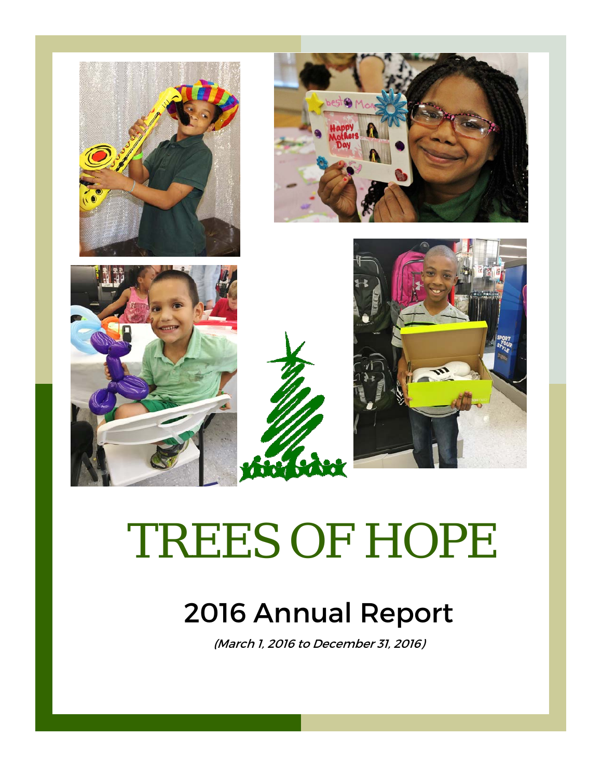

# TREES OF HOPE

# 2016 Annual Report

(March 1, 2016 to December 31, 2016)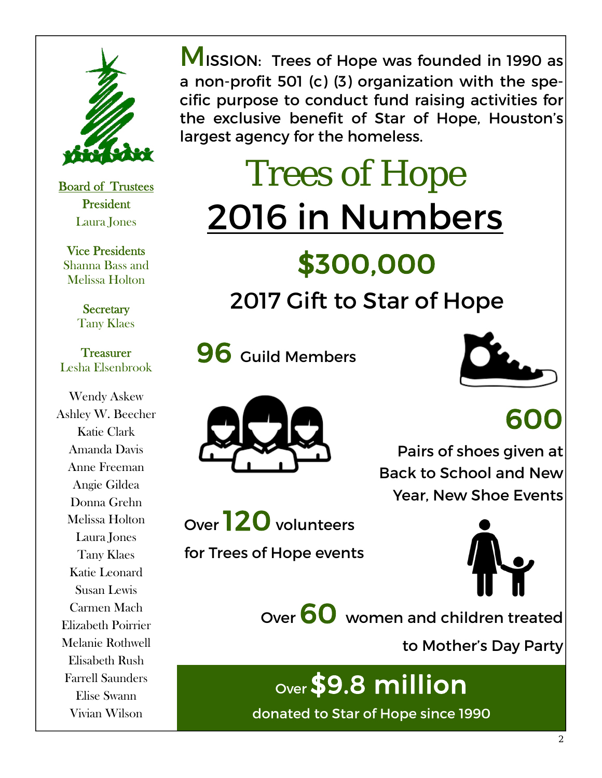

Board of Trustees President Laura Jones

Vice Presidents Shanna Bass and Melissa Holton

> **Secretary** Tany Klaes

**Treasurer** Lesha Elsenbrook

Wendy Askew Ashley W. Beecher Katie Clark Amanda Davis Anne Freeman Angie Gildea Donna Grehn Melissa Holton Laura Jones Tany Klaes Katie Leonard Susan Lewis Carmen Mach Elizabeth Poirrier Melanie Rothwell Elisabeth Rush Farrell Saunders Elise Swann Vivian Wilson

**MISSION: Trees of Hope was founded in 1990 as** a non-profit 501 (c) (3) organization with the specific purpose to conduct fund raising activities for the exclusive benefit of Star of Hope, Houston's largest agency for the homeless.

# Trees of Hope 2016 in Numbers

# \$300,000

## 2017 Gift to Star of Hope

**96** Guild Members





# 600

Pairs of shoes given at Back to School and New Year, New Shoe Events

Over 120 volunteers

for Trees of Hope events





Over 60 women and children treated

to Mother's Day Party

# Over \$9.8 million

donated to Star of Hope since 1990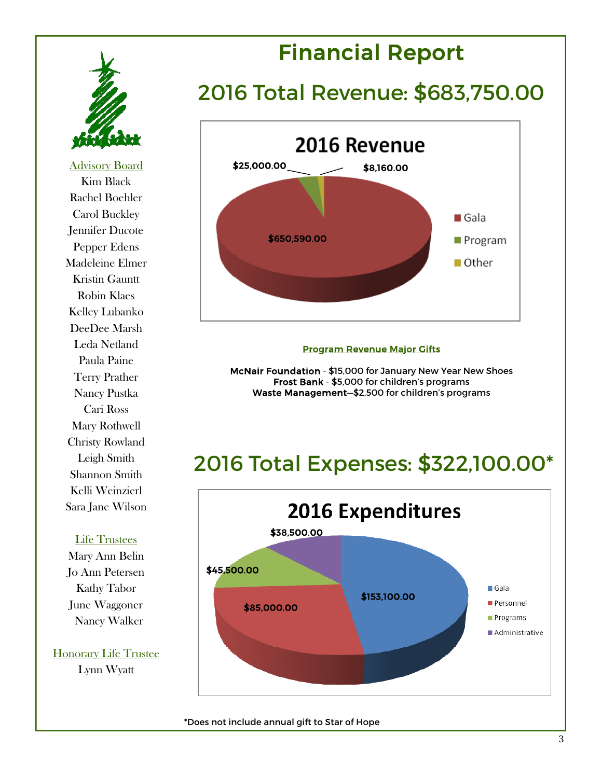

Advisory Board Kim Black Rachel Boehler Carol Buckley Jennifer Ducote Pepper Edens Madeleine Elmer Kristin Gauntt Robin Klaes Kelley Lubanko DeeDee Marsh Leda Netland Paula Paine Terry Prather Nancy Pustka Cari Ross Mary Rothwell Christy Rowland Leigh Smith Shannon Smith Kelli Weinzierl Sara Jane Wilson

#### Life Trustees

Mary Ann Belin Jo Ann Petersen Kathy Tabor June Waggoner Nancy Walker

Honorary Life Trustee Lynn Wyatt

## Financial Report

### 2016 Total Revenue: \$683,750.00



#### Program Revenue Major Gifts

McNair Foundation - \$15,000 for January New Year New Shoes Frost Bank - \$5,000 for children's programs Waste Management—\$2,500 for children's programs

### 2016 Total Expenses: \$322,100.00\*



\*Does not include annual gift to Star of Hope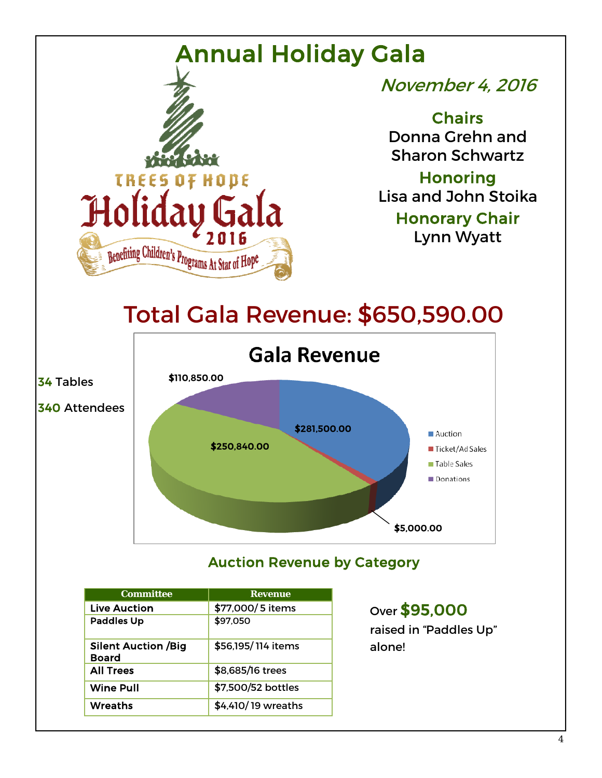

34 Tables

November 4, 2016

**Chairs** Donna Grehn and Sharon Schwartz

**Honoring** Lisa and John Stoika

> Honorary Chair Lynn Wyatt

## Total Gala Revenue: \$650,590.00



#### Auction Revenue by Category

| <b>Committee</b>                           | <b>Revenue</b>     |
|--------------------------------------------|--------------------|
| <b>Live Auction</b>                        | \$77,000/5 items   |
| <b>Paddles Up</b>                          | \$97,050           |
| <b>Silent Auction /Big</b><br><b>Board</b> | \$56,195/114 items |
| <b>All Trees</b>                           | \$8,685/16 trees   |
| <b>Wine Pull</b>                           | \$7,500/52 bottles |
| Wreaths                                    | \$4,410/19 wreaths |

#### Over \$95,000

raised in "Paddles Up" alone!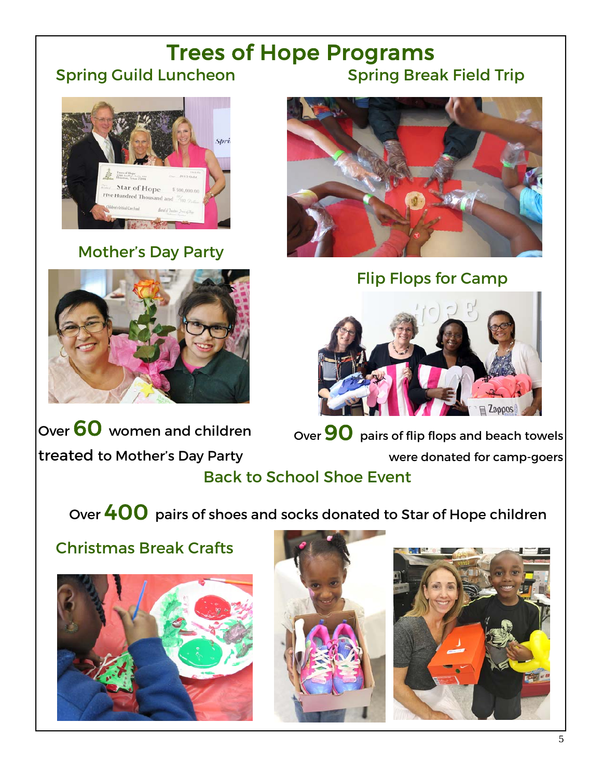#### Trees of Hope Programs Spring Guild Luncheon Spring Break Field Trip



#### Mother's Day Party





Flip Flops for Camp



Back to School Shoe Event Over 60 women and children treated to Mother's Day Party Over  $90$  pairs of flip flops and beach towels were donated for camp-goers

Over 400 pairs of shoes and socks donated to Star of Hope children

#### Christmas Break Crafts





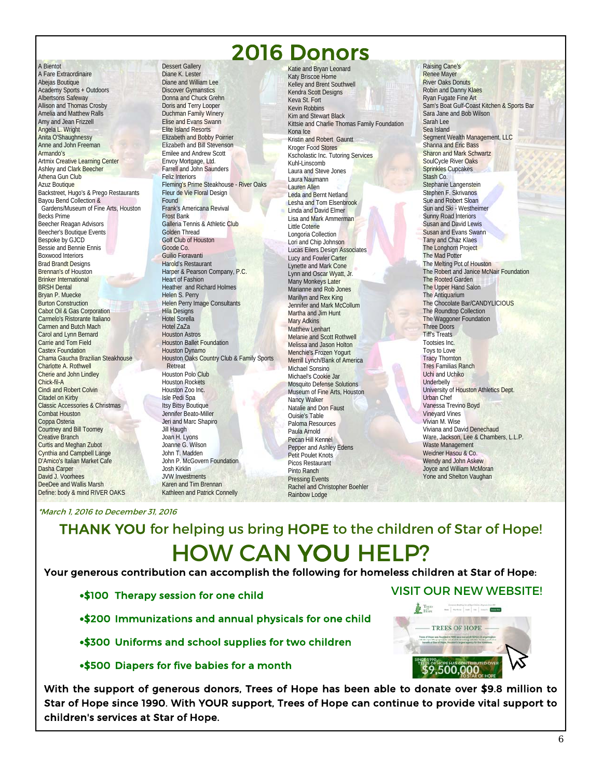### 2016 Donors

A Bientot A Fare Extraordinaire Abejas Boutique Academy Sports + Outdoors Albertsons Safeway Allison and Thomas Crosby Amelia and Matthew Ralls Amy and Jean Frizzell Angela L. Wright Anita O'Shaughnessy Anne and John Freeman Armando's Artmix Creative Learning Center Ashley and Clark Beecher Athena Gun Club Azuz Boutique Backstreet, Hugo's & Prego Restaurants Bayou Bend Collection & Gardens/Museum of Fine Arts, Houston Becks Prime Beecher Reagan Advisors Beecher's Boutique Events Bespoke by GJCD Bessie and Bennie Ennis Boxwood Interiors Brad Brandt Designs Brennan's of Houston Brinker International BRSH Dental Bryan P. Muecke Burton Construction Cabot Oil & Gas Corporation Carmelo's Ristorante Italiano Carmen and Butch Mach Carol and Lynn Bernard Carrie and Tom Field Castex Foundation Chama Gaucha Brazilian Steakhouse Charlotte A. Rothwell Cherie and John Lindley Chick-fil-A Cindi and Robert Colvin Citadel on Kirby Classic Accessories & Christmas Combat Houston Coppa Osteria Courtney and Bill Toomey Creative Branch Curtis and Meghan Zubot Cynthia and Campbell Lange D'Amico's Italian Market Cafe Dasha Carper David J. Voorhees DeeDee and Wallis Marsh Define: body & mind RIVER OAKS

Dessert Gallery Diane K. Lester Diane and William Lee Discover Gymanstics Donna and Chuck Grehn Doris and Terry Looper Duchman Family Winery Elise and Evans Swann Elite Island Resorts Elizabeth and Bobby Poirrier Elizabeth and Bill Stevenson Emilee and Andrew Scott Envoy Mortgage, Ltd. Farrell and John Saunders Feliz Interiors Fleming's Prime Steakhouse - River Oaks Fleur de Vie Floral Design Found Frank's Americana Revival Frost Bank Galleria Tennis & Athletic Club Golden Thread Golf Club of Houston Goode Co. Guilio Fioravanti Harold's Restaurant Harper & Pearson Company, P.C. Heart of Fashion Heather and Richard Holmes Helen S. Perry Helen Perry Image Consultants Hila Designs Hotel Sorella Hotel ZaZa Houston Astros Houston Ballet Foundation Houston Dynamo Houston Oaks Country Club & Family Sports Retreat Houston Polo Club Houston Rockets Houston Zoo Inc. Isle Pedi Spa Itsy Bitsy Boutique Jennifer Beato-Miller Jeri and Marc Shapiro Jill Haugh Joan H. Lyons Joanne G. Wilson John T. Madden John P. McGovern Foundation Josh Kirklin JVW Investments Karen and Tim Brennan Kathleen and Patrick Connelly

Katie and Bryan Leonard Katy Briscoe Home Kelley and Brent Southwell Kendra Scott Designs Keva St. Fort Kevin Robbins Kim and Stewart Black Kittsie and Charlie Thomas Family Foundation Kona Ice Kristin and Robert Gauntt Kroger Food Stores Kscholastic Inc. Tutoring Services Kuhl-Linscomb Laura and Steve Jones Laura Naumann Lauren Allen Leda and Bernt Netland Lesha and Tom Elsenbrook **Linda and David Elmer** Lisa and Mark Ammerman Little Coterie Longoria Collection Lori and Chip Johnson Lucas Eilers Design Associates Lucy and Fowler Carter Lynette and Mark Cone Lynn and Oscar Wyatt, Jr. Many Monkeys Later Marianne and Rob Jones Marillyn and Rex King Jennifer and Mark McCollum Martha and Jim Hunt Mary Adkins Matthew Lenhart Melanie and Scott Rothwell Melissa and Jason Holton Menchie's Frozen Yogurt Merrill Lynch/Bank of America Michael Sonsino Michael's Cookie Jar Mosquito Defense Solutions Museum of Fine Arts, Houston Nancy Walker Natalie and Don Faust Ouisie's Table Paloma Resources Paula Arnold Pecan Hill Kennel Pepper and Ashley Edens Petit Poulet Knots Picos Restaurant Pinto Ranch Pressing Events Rachel and Christopher Boehler

Raising Cane's Renee Mayer River Oaks Donuts Robin and Danny Klaes Ryan Fugate Fine Art Sam's Boat Gulf-Coast Kitchen & Sports Bar Sara Jane and Bob Wilson Sarah Lee Sea Island Segment Wealth Management, LLC Shanna and Eric Bass **Sharon and Mark Schwartz** SoulCycle River Oaks Sprinkles Cupcakes Stash Co. Stephanie Langenstein Stephen F. Skrivanos Sue and Robert Sloan Sun and Ski - Westheimer Sunny Road Interiors Susan and David Lewis Susan and Evans Swann Tany and Chaz Klaes The Longhorn Project The Mad Potter The Melting Pot of Houston The Robert and Janice McNair Foundation The Rooted Garden The Upper Hand Salon The Antiquarium The Chocolate Bar/CANDYLICIOUS The Roundtop Collection The Waggoner Foundation Three Doors Tiff's Treats Tootsies Inc. Toys to Love Tracy Thornton Tres Familias Ranch Uchi and Uchiko Underbelly University of Houston Athletics Dept. Urban Chef Vanessa Trevino Boyd Vineyard Vines Vivian M. Wise Viviana and David Denechaud Ware, Jackson, Lee & Chambers, L.L.P. Waste Management Weidner Hasou & Co. Wendy and John Askew Joyce and William McMoran Yone and Shelton Vaughan

\*March 1, 2016 to December 31, 2016

THANK YOU for helping us bring HOPE to the children of Star of Hope! HOW CAN YOU HELP?

Rainbow Lodge

Your generous contribution can accomplish the following for homeless children at Star of Hope:

- \$100 Therapy session for one child
- \$200 Immunizations and annual physicals for one child
- \$300 Uniforms and school supplies for two children

#### \$500 Diapers for five babies for a month

With the support of generous donors, Trees of Hope has been able to donate over \$9.8 million to Star of Hope since 1990. With YOUR support, Trees of Hope can continue to provide vital support to children's services at Star of Hope.

### TREES OF HOPE 500,000

VISIT OUR NEW WEBSITE!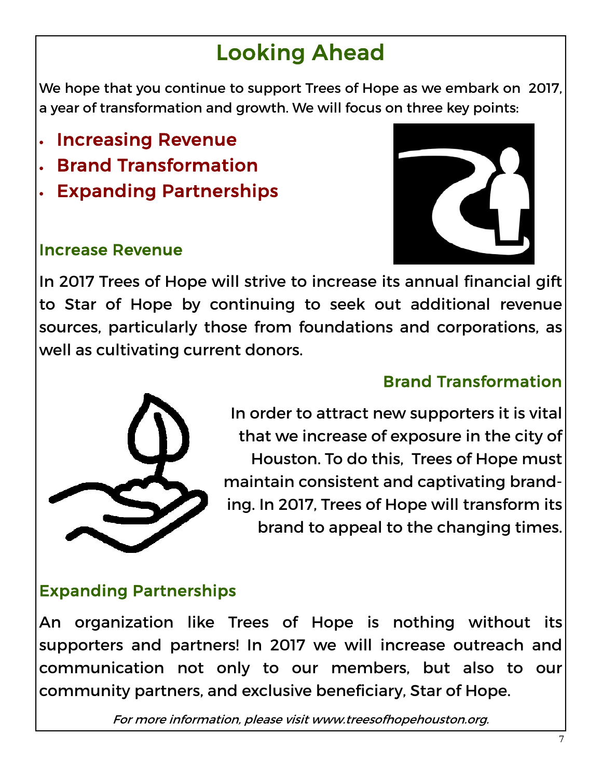## Looking Ahead

We hope that you continue to support Trees of Hope as we embark on 2017, a year of transformation and growth. We will focus on three key points:

- Increasing Revenue
- Brand Transformation
- Expanding Partnerships

#### Increase Revenue



In 2017 Trees of Hope will strive to increase its annual financial gift to Star of Hope by continuing to seek out additional revenue sources, particularly those from foundations and corporations, as well as cultivating current donors.



#### Brand Transformation

In order to attract new supporters it is vital that we increase of exposure in the city of Houston. To do this, Trees of Hope must maintain consistent and captivating branding. In 2017, Trees of Hope will transform its brand to appeal to the changing times.

#### Expanding Partnerships

An organization like Trees of Hope is nothing without its supporters and partners! In 2017 we will increase outreach and communication not only to our members, but also to our community partners, and exclusive beneficiary, Star of Hope.

For more information, please visit www.treesofhopehouston.org.